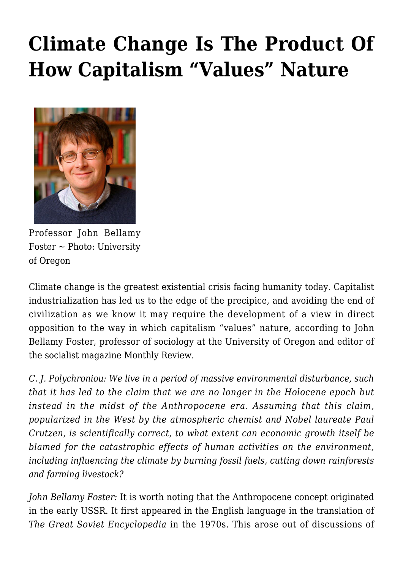## **[Climate Change Is The Product Of](https://rozenbergquarterly.com/climate-change-is-the-product-of-how-capitalism-values-nature/) [How Capitalism "Values" Nature](https://rozenbergquarterly.com/climate-change-is-the-product-of-how-capitalism-values-nature/)**



Professor John Bellamy  $Foster \sim Photo: University$ of Oregon

Climate change is the greatest existential crisis facing humanity today. Capitalist industrialization has led us to the edge of the precipice, and avoiding the end of civilization as we know it may require the development of a view in direct opposition to the way in which capitalism "values" nature, according to John Bellamy Foster, professor of sociology at the University of Oregon and editor of the socialist magazine Monthly Review.

*C. J. Polychroniou: We live in a period of massive environmental disturbance, such that it has led to the claim that we are no longer in the Holocene epoch but instead in the midst of the Anthropocene era. Assuming that this claim, popularized in the West by the atmospheric chemist and Nobel laureate Paul Crutzen, is scientifically correct, to what extent can economic growth itself be blamed for the catastrophic effects of human activities on the environment, including influencing the climate by burning fossil fuels, cutting down rainforests and farming livestock?*

*John Bellamy Foster:* It is worth noting that the Anthropocene concept originated in the early USSR. It first appeared in the English language in the translation of *The Great Soviet Encyclopedia* in the 1970s. This arose out of discussions of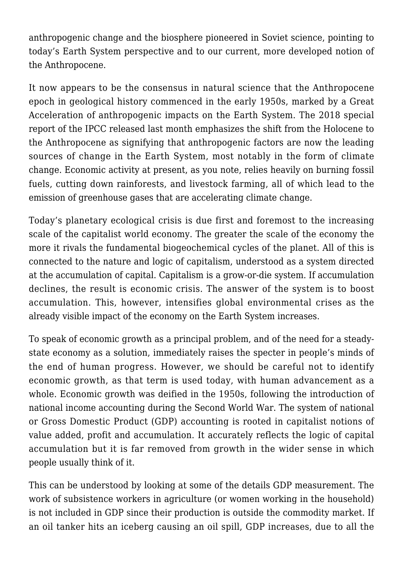anthropogenic change and the biosphere pioneered in Soviet science, pointing to today's Earth System perspective and to our current, more developed notion of the Anthropocene.

It now appears to be the consensus in natural science that the Anthropocene epoch in geological history commenced in the early 1950s, marked by a Great Acceleration of anthropogenic impacts on the Earth System. The 2018 special report of the IPCC released last month emphasizes the shift from the Holocene to the Anthropocene as signifying that anthropogenic factors are now the leading sources of change in the Earth System, most notably in the form of climate change. Economic activity at present, as you note, relies heavily on burning fossil fuels, cutting down rainforests, and livestock farming, all of which lead to the emission of greenhouse gases that are accelerating climate change.

Today's planetary ecological crisis is due first and foremost to the increasing scale of the capitalist world economy. The greater the scale of the economy the more it rivals the fundamental biogeochemical cycles of the planet. All of this is connected to the nature and logic of capitalism, understood as a system directed at the accumulation of capital. Capitalism is a grow-or-die system. If accumulation declines, the result is economic crisis. The answer of the system is to boost accumulation. This, however, intensifies global environmental crises as the already visible impact of the economy on the Earth System increases.

To speak of economic growth as a principal problem, and of the need for a steadystate economy as a solution, immediately raises the specter in people's minds of the end of human progress. However, we should be careful not to identify economic growth, as that term is used today, with human advancement as a whole. Economic growth was deified in the 1950s, following the introduction of national income accounting during the Second World War. The system of national or Gross Domestic Product (GDP) accounting is rooted in capitalist notions of value added, profit and accumulation. It accurately reflects the logic of capital accumulation but it is far removed from growth in the wider sense in which people usually think of it.

This can be understood by looking at some of the details GDP measurement. The work of subsistence workers in agriculture (or women working in the household) is not included in GDP since their production is outside the commodity market. If an oil tanker hits an iceberg causing an oil spill, GDP increases, due to all the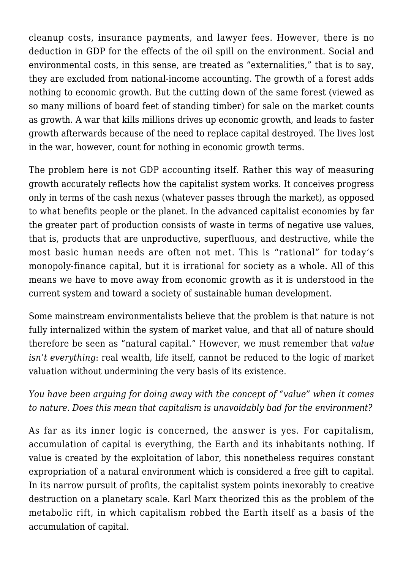cleanup costs, insurance payments, and lawyer fees. However, there is no deduction in GDP for the effects of the oil spill on the environment. Social and environmental costs, in this sense, are treated as "externalities," that is to say, they are excluded from national-income accounting. The growth of a forest adds nothing to economic growth. But the cutting down of the same forest (viewed as so many millions of board feet of standing timber) for sale on the market counts as growth. A war that kills millions drives up economic growth, and leads to faster growth afterwards because of the need to replace capital destroyed. The lives lost in the war, however, count for nothing in economic growth terms.

The problem here is not GDP accounting itself. Rather this way of measuring growth accurately reflects how the capitalist system works. It conceives progress only in terms of the cash nexus (whatever passes through the market), as opposed to what benefits people or the planet. In the advanced capitalist economies by far the greater part of production consists of waste in terms of negative use values, that is, products that are unproductive, superfluous, and destructive, while the most basic human needs are often not met. This is "rational" for today's monopoly-finance capital, but it is irrational for society as a whole. All of this means we have to move away from economic growth as it is understood in the current system and toward a society of sustainable human development.

Some mainstream environmentalists believe that the problem is that nature is not fully internalized within the system of market value, and that all of nature should therefore be seen as "natural capital." However, we must remember that *value isn't everything*: real wealth, life itself, cannot be reduced to the logic of market valuation without undermining the very basis of its existence.

*You have been arguing for doing away with the concept of "value" when it comes to nature. Does this mean that capitalism is unavoidably bad for the environment?*

As far as its inner logic is concerned, the answer is yes. For capitalism, accumulation of capital is everything, the Earth and its inhabitants nothing. If value is created by the exploitation of labor, this nonetheless requires constant expropriation of a natural environment which is considered a free gift to capital. In its narrow pursuit of profits, the capitalist system points inexorably to creative destruction on a planetary scale. Karl Marx theorized this as the problem of the metabolic rift, in which capitalism robbed the Earth itself as a basis of the accumulation of capital.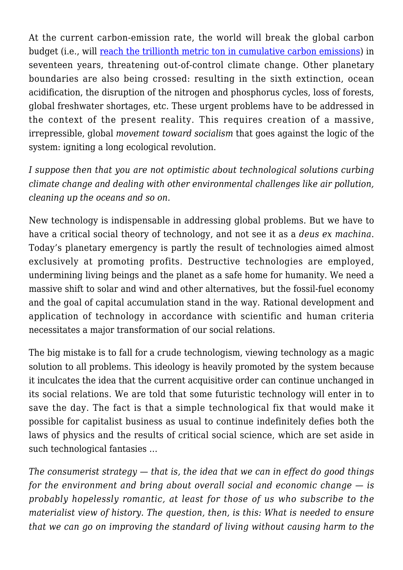At the current carbon-emission rate, the world will break the global carbon budget (i.e., will [reach the trillionth metric ton in cumulative carbon emissions](http://trillionthtonne.org/)) in seventeen years, threatening out-of-control climate change. Other planetary boundaries are also being crossed: resulting in the sixth extinction, ocean acidification, the disruption of the nitrogen and phosphorus cycles, loss of forests, global freshwater shortages, etc. These urgent problems have to be addressed in the context of the present reality. This requires creation of a massive, irrepressible, global *movement toward socialism* that goes against the logic of the system: igniting a long ecological revolution.

*I suppose then that you are not optimistic about technological solutions curbing climate change and dealing with other environmental challenges like air pollution, cleaning up the oceans and so on.*

New technology is indispensable in addressing global problems. But we have to have a critical social theory of technology, and not see it as a *deus ex machina*. Today's planetary emergency is partly the result of technologies aimed almost exclusively at promoting profits. Destructive technologies are employed, undermining living beings and the planet as a safe home for humanity. We need a massive shift to solar and wind and other alternatives, but the fossil-fuel economy and the goal of capital accumulation stand in the way. Rational development and application of technology in accordance with scientific and human criteria necessitates a major transformation of our social relations.

The big mistake is to fall for a crude technologism, viewing technology as a magic solution to all problems. This ideology is heavily promoted by the system because it inculcates the idea that the current acquisitive order can continue unchanged in its social relations. We are told that some futuristic technology will enter in to save the day. The fact is that a simple technological fix that would make it possible for capitalist business as usual to continue indefinitely defies both the laws of physics and the results of critical social science, which are set aside in such technological fantasies …

*The consumerist strategy — that is, the idea that we can in effect do good things for the environment and bring about overall social and economic change — is probably hopelessly romantic, at least for those of us who subscribe to the materialist view of history. The question, then, is this: What is needed to ensure that we can go on improving the standard of living without causing harm to the*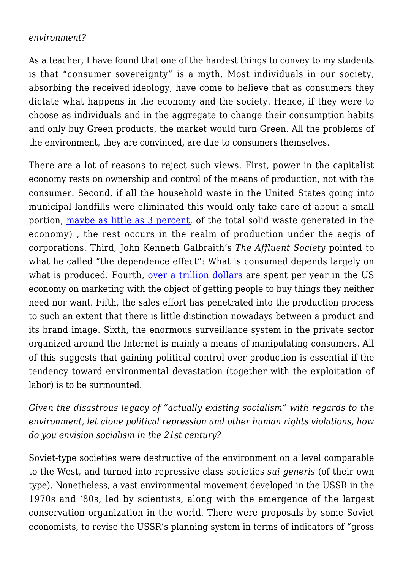## *environment?*

As a teacher, I have found that one of the hardest things to convey to my students is that "consumer sovereignty" is a myth. Most individuals in our society, absorbing the received ideology, have come to believe that as consumers they dictate what happens in the economy and the society. Hence, if they were to choose as individuals and in the aggregate to change their consumption habits and only buy Green products, the market would turn Green. All the problems of the environment, they are convinced, are due to consumers themselves.

There are a lot of reasons to reject such views. First, power in the capitalist economy rests on ownership and control of the means of production, not with the consumer. Second, if all the household waste in the United States going into municipal landfills were eliminated this would only take care of about a small portion, [maybe as little as 3 percent,](https://discardstudies.com/2016/03/02/municipal-versus-industrial-waste-a-3-97-ratio-or-something-else-entirely) of the total solid waste generated in the economy) , the rest occurs in the realm of production under the aegis of corporations. Third, John Kenneth Galbraith's *The Affluent Society* pointed to what he called "the dependence effect": What is consumed depends largely on what is produced. Fourth, [over a trillion dollars](http://www.metrics2.com/blog/2006/06/26/us_marketing_spending_exceeded_1_trillion_in_2005.html) are spent per year in the US economy on marketing with the object of getting people to buy things they neither need nor want. Fifth, the sales effort has penetrated into the production process to such an extent that there is little distinction nowadays between a product and its brand image. Sixth, the enormous surveillance system in the private sector organized around the Internet is mainly a means of manipulating consumers. All of this suggests that gaining political control over production is essential if the tendency toward environmental devastation (together with the exploitation of labor) is to be surmounted.

*Given the disastrous legacy of "actually existing socialism" with regards to the environment, let alone political repression and other human rights violations, how do you envision socialism in the 21st century?*

Soviet-type societies were destructive of the environment on a level comparable to the West, and turned into repressive class societies *sui generis* (of their own type). Nonetheless, a vast environmental movement developed in the USSR in the 1970s and '80s, led by scientists, along with the emergence of the largest conservation organization in the world. There were proposals by some Soviet economists, to revise the USSR's planning system in terms of indicators of "gross